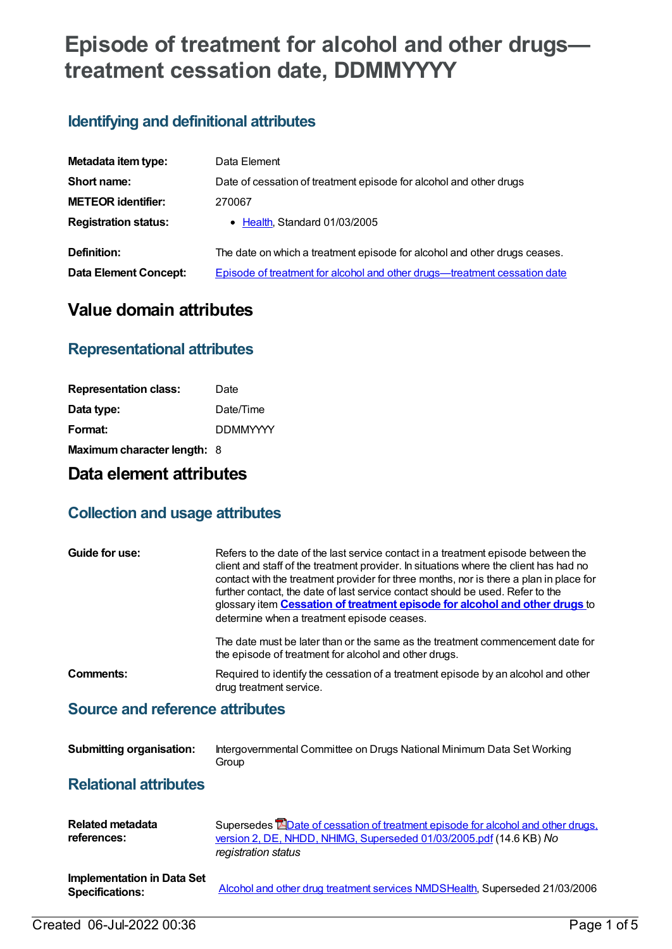# **Episode of treatment for alcohol and other drugs treatment cessation date, DDMMYYYY**

# **Identifying and definitional attributes**

| Metadata item type:          | Data Element                                                              |
|------------------------------|---------------------------------------------------------------------------|
| Short name:                  | Date of cessation of treatment episode for alcohol and other drugs        |
| <b>METEOR identifier:</b>    | 270067                                                                    |
| <b>Registration status:</b>  | • Health, Standard 01/03/2005                                             |
| Definition:                  | The date on which a treatment episode for alcohol and other drugs ceases. |
| <b>Data Element Concept:</b> | Episode of treatment for alcohol and other drugs—treatment cessation date |

# **Value domain attributes**

### **Representational attributes**

| <b>Representation class:</b> | Date            |
|------------------------------|-----------------|
| Data type:                   | Date/Time       |
| Format:                      | <b>DDMMYYYY</b> |
| Maximum character length: 8  |                 |

## **Data element attributes**

### **Collection and usage attributes**

| Guide for use: | Refers to the date of the last service contact in a treatment episode between the<br>client and staff of the treatment provider. In situations where the client has had no<br>contact with the treatment provider for three months, nor is there a plan in place for<br>further contact, the date of last service contact should be used. Refer to the<br>glossary item <b>Cessation of treatment episode for alcohol and other drugs</b> to<br>determine when a treatment episode ceases.<br>The date must be later than or the same as the treatment commencement date for |
|----------------|------------------------------------------------------------------------------------------------------------------------------------------------------------------------------------------------------------------------------------------------------------------------------------------------------------------------------------------------------------------------------------------------------------------------------------------------------------------------------------------------------------------------------------------------------------------------------|
|                | the episode of treatment for alcohol and other drugs.                                                                                                                                                                                                                                                                                                                                                                                                                                                                                                                        |
| Comments:      | Required to identify the cessation of a treatment episode by an alcohol and other<br>drug treatment service.                                                                                                                                                                                                                                                                                                                                                                                                                                                                 |
|                |                                                                                                                                                                                                                                                                                                                                                                                                                                                                                                                                                                              |

#### **Source and reference attributes**

| <b>Submitting organisation:</b> | Intergovernmental Committee on Drugs National Minimum Data Set Working |
|---------------------------------|------------------------------------------------------------------------|
|                                 | Group                                                                  |

#### **Relational attributes**

| Related metadata<br>references:                             | Supersedes EDate of cessation of treatment episode for alcohol and other drugs.<br>version 2, DE, NHDD, NHIMG, Superseded 01/03/2005.pdf (14.6 KB) No<br>registration status |
|-------------------------------------------------------------|------------------------------------------------------------------------------------------------------------------------------------------------------------------------------|
| <b>Implementation in Data Set</b><br><b>Specifications:</b> | Alcohol and other drug treatment services NMDSHealth, Superseded 21/03/2006                                                                                                  |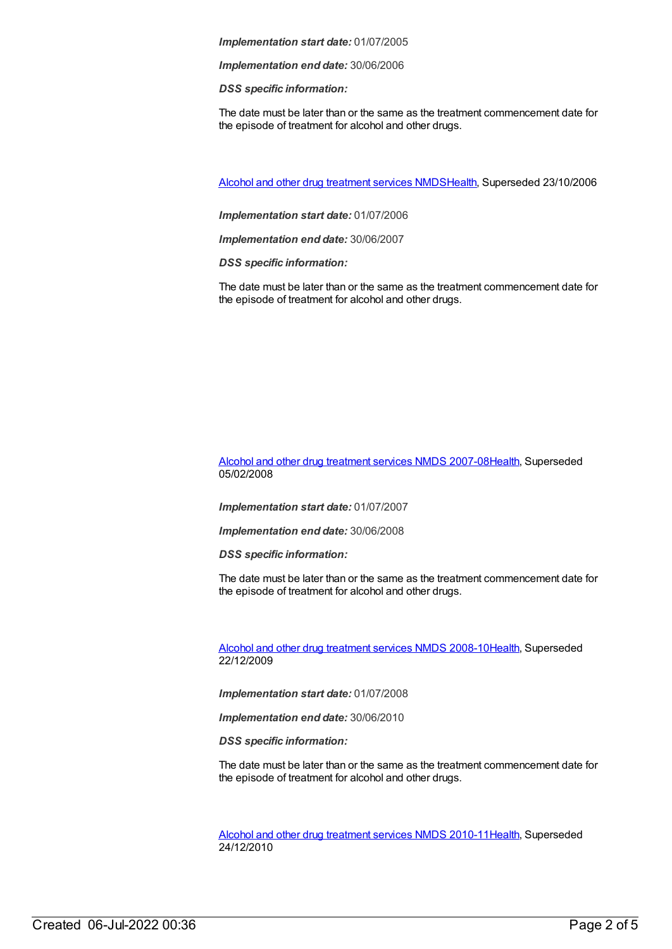*Implementation end date:* 30/06/2006

*DSS specific information:*

The date must be later than or the same as the treatment commencement date for the episode of treatment for alcohol and other drugs.

Alcohol and other drug [treatment](https://meteor.aihw.gov.au/content/334288) services NMD[SHealth](https://meteor.aihw.gov.au/RegistrationAuthority/12), Superseded 23/10/2006

*Implementation start date:* 01/07/2006

*Implementation end date:* 30/06/2007

*DSS specific information:*

The date must be later than or the same as the treatment commencement date for the episode of treatment for alcohol and other drugs.

Alcohol and other drug [treatment](https://meteor.aihw.gov.au/content/345144) services NMDS 2007-0[8Health](https://meteor.aihw.gov.au/RegistrationAuthority/12), Superseded 05/02/2008

*Implementation start date:* 01/07/2007

*Implementation end date:* 30/06/2008

*DSS specific information:*

The date must be later than or the same as the treatment commencement date for the episode of treatment for alcohol and other drugs.

Alcohol and other drug [treatment](https://meteor.aihw.gov.au/content/362318) services NMDS 2008-1[0Health](https://meteor.aihw.gov.au/RegistrationAuthority/12), Superseded 22/12/2009

*Implementation start date:* 01/07/2008

*Implementation end date:* 30/06/2010

*DSS specific information:*

The date must be later than or the same as the treatment commencement date for the episode of treatment for alcohol and other drugs.

Alcohol and other drug [treatment](https://meteor.aihw.gov.au/content/374211) services NMDS 2010-1[1Health](https://meteor.aihw.gov.au/RegistrationAuthority/12), Superseded 24/12/2010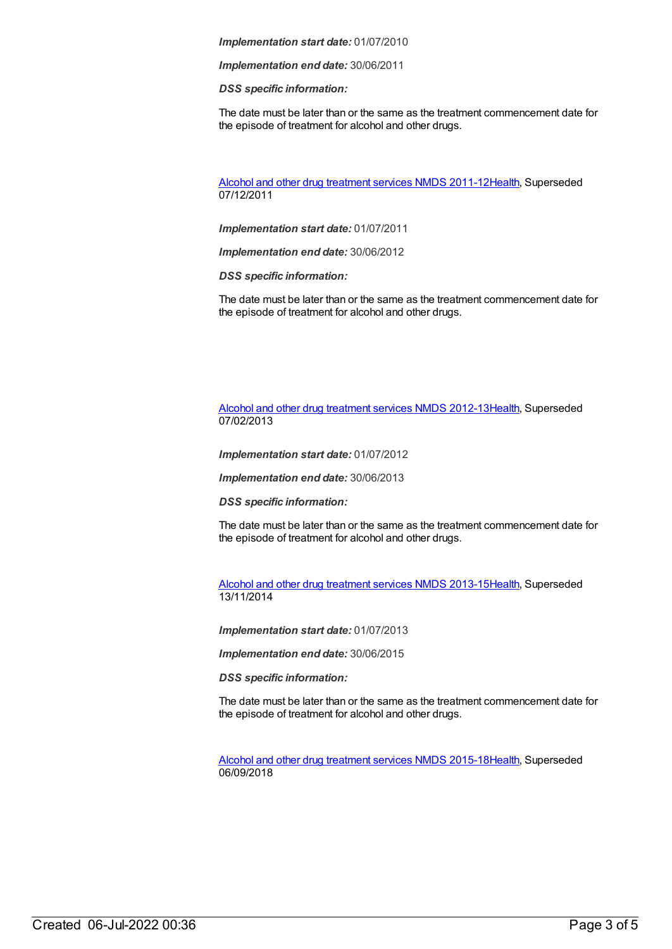*Implementation end date:* 30/06/2011

*DSS specific information:*

The date must be later than or the same as the treatment commencement date for the episode of treatment for alcohol and other drugs.

Alcohol and other drug [treatment](https://meteor.aihw.gov.au/content/427037) services NMDS 2011-1[2Health](https://meteor.aihw.gov.au/RegistrationAuthority/12), Superseded 07/12/2011

*Implementation start date:* 01/07/2011

*Implementation end date:* 30/06/2012

*DSS specific information:*

The date must be later than or the same as the treatment commencement date for the episode of treatment for alcohol and other drugs.

Alcohol and other drug [treatment](https://meteor.aihw.gov.au/content/466861) services NMDS 2012-1[3Health](https://meteor.aihw.gov.au/RegistrationAuthority/12), Superseded 07/02/2013

*Implementation start date:* 01/07/2012

*Implementation end date:* 30/06/2013

*DSS specific information:*

The date must be later than or the same as the treatment commencement date for the episode of treatment for alcohol and other drugs.

Alcohol and other drug [treatment](https://meteor.aihw.gov.au/content/498901) services NMDS 2013-1[5Health](https://meteor.aihw.gov.au/RegistrationAuthority/12), Superseded 13/11/2014

*Implementation start date:* 01/07/2013

*Implementation end date:* 30/06/2015

*DSS specific information:*

The date must be later than or the same as the treatment commencement date for the episode of treatment for alcohol and other drugs.

Alcohol and other drug [treatment](https://meteor.aihw.gov.au/content/583090) services NMDS 2015-1[8Health](https://meteor.aihw.gov.au/RegistrationAuthority/12), Superseded 06/09/2018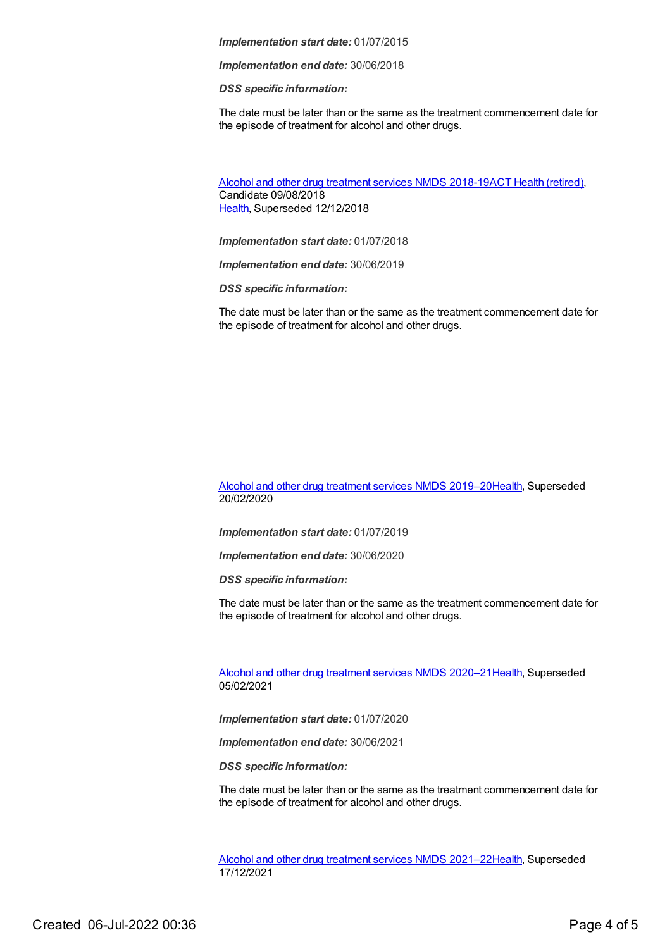*Implementation end date:* 30/06/2018

*DSS specific information:*

The date must be later than or the same as the treatment commencement date for the episode of treatment for alcohol and other drugs.

Alcohol and other drug [treatment](https://meteor.aihw.gov.au/content/686596) services NMDS 2018-19ACT Health [\(retired\)](https://meteor.aihw.gov.au/RegistrationAuthority/9), Candidate 09/08/2018 [Health](https://meteor.aihw.gov.au/RegistrationAuthority/12), Superseded 12/12/2018

*Implementation start date:* 01/07/2018

*Implementation end date:* 30/06/2019

*DSS specific information:*

The date must be later than or the same as the treatment commencement date for the episode of treatment for alcohol and other drugs.

Alcohol and other drug [treatment](https://meteor.aihw.gov.au/content/700931) services NMDS 2019–2[0Health](https://meteor.aihw.gov.au/RegistrationAuthority/12), Superseded 20/02/2020

*Implementation start date:* 01/07/2019

*Implementation end date:* 30/06/2020

*DSS specific information:*

The date must be later than or the same as the treatment commencement date for the episode of treatment for alcohol and other drugs.

Alcohol and other drug [treatment](https://meteor.aihw.gov.au/content/717078) services NMDS 2020–2[1Health](https://meteor.aihw.gov.au/RegistrationAuthority/12), Superseded 05/02/2021

*Implementation start date:* 01/07/2020

*Implementation end date:* 30/06/2021

*DSS specific information:*

The date must be later than or the same as the treatment commencement date for the episode of treatment for alcohol and other drugs.

Alcohol and other drug [treatment](https://meteor.aihw.gov.au/content/733903) services NMDS 2021–2[2Health](https://meteor.aihw.gov.au/RegistrationAuthority/12), Superseded 17/12/2021